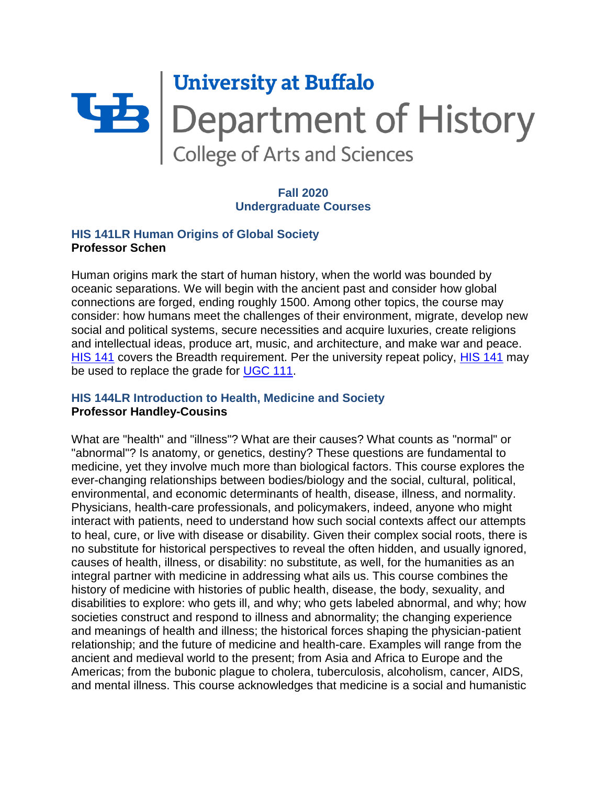# **University at Buffalo Later School Separtment of History**<br>College of Arts and Sciences

# **Fall 2020 Undergraduate Courses**

## **HIS 141LR Human Origins of Global Society Professor Schen**

Human origins mark the start of human history, when the world was bounded by oceanic separations. We will begin with the ancient past and consider how global connections are forged, ending roughly 1500. Among other topics, the course may consider: how humans meet the challenges of their environment, migrate, develop new social and political systems, secure necessities and acquire luxuries, create religions and intellectual ideas, produce art, music, and architecture, and make war and peace. [HIS 141](https://catalog.buffalo.edu/courses/?abbr=HIS&num=141) covers the Breadth requirement. Per the university repeat policy, [HIS 141](https://catalog.buffalo.edu/courses/?abbr=HIS&num=141) may be used to replace the grade for [UGC 111.](https://catalog.buffalo.edu/courses/?abbr=UGC&num=111)

# **HIS 144LR Introduction to Health, Medicine and Society Professor Handley-Cousins**

What are "health" and "illness"? What are their causes? What counts as "normal" or "abnormal"? Is anatomy, or genetics, destiny? These questions are fundamental to medicine, yet they involve much more than biological factors. This course explores the ever-changing relationships between bodies/biology and the social, cultural, political, environmental, and economic determinants of health, disease, illness, and normality. Physicians, health-care professionals, and policymakers, indeed, anyone who might interact with patients, need to understand how such social contexts affect our attempts to heal, cure, or live with disease or disability. Given their complex social roots, there is no substitute for historical perspectives to reveal the often hidden, and usually ignored, causes of health, illness, or disability: no substitute, as well, for the humanities as an integral partner with medicine in addressing what ails us. This course combines the history of medicine with histories of public health, disease, the body, sexuality, and disabilities to explore: who gets ill, and why; who gets labeled abnormal, and why; how societies construct and respond to illness and abnormality; the changing experience and meanings of health and illness; the historical forces shaping the physician-patient relationship; and the future of medicine and health-care. Examples will range from the ancient and medieval world to the present; from Asia and Africa to Europe and the Americas; from the bubonic plague to cholera, tuberculosis, alcoholism, cancer, AIDS, and mental illness. This course acknowledges that medicine is a social and humanistic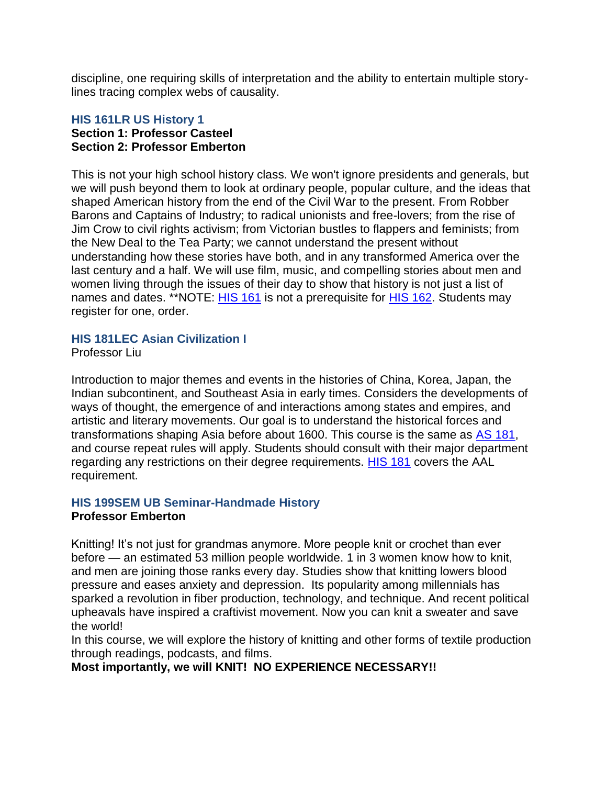discipline, one requiring skills of interpretation and the ability to entertain multiple storylines tracing complex webs of causality.

## **HIS 161LR US History 1 Section 1: Professor Casteel Section 2: Professor Emberton**

This is not your high school history class. We won't ignore presidents and generals, but we will push beyond them to look at ordinary people, popular culture, and the ideas that shaped American history from the end of the Civil War to the present. From Robber Barons and Captains of Industry; to radical unionists and free-lovers; from the rise of Jim Crow to civil rights activism; from Victorian bustles to flappers and feminists; from the New Deal to the Tea Party; we cannot understand the present without understanding how these stories have both, and in any transformed America over the last century and a half. We will use film, music, and compelling stories about men and women living through the issues of their day to show that history is not just a list of names and dates. \*\*NOTE: [HIS 161](https://catalog.buffalo.edu/courses/?abbr=HIS&num=161) is not a prerequisite for [HIS 162.](https://catalog.buffalo.edu/courses/?abbr=HIS&num=162) Students may register for one, order.

# **HIS 181LEC Asian Civilization I**

Professor Liu

Introduction to major themes and events in the histories of China, Korea, Japan, the Indian subcontinent, and Southeast Asia in early times. Considers the developments of ways of thought, the emergence of and interactions among states and empires, and artistic and literary movements. Our goal is to understand the historical forces and transformations shaping Asia before about 1600. This course is the same as [AS 181,](https://catalog.buffalo.edu/courses/?abbr=AS&num=181) and course repeat rules will apply. Students should consult with their major department regarding any restrictions on their degree requirements. [HIS 181](https://catalog.buffalo.edu/courses/?abbr=HIS&num=181) covers the AAL requirement.

# **HIS 199SEM UB Seminar-Handmade History**

# **Professor Emberton**

Knitting! It's not just for grandmas anymore. More people knit or crochet than ever before — an estimated 53 million people worldwide. 1 in 3 women know how to knit, and men are joining those ranks every day. Studies show that knitting lowers blood pressure and eases anxiety and depression. Its popularity among millennials has sparked a revolution in fiber production, technology, and technique. And recent political upheavals have inspired a craftivist movement. Now you can knit a sweater and save the world!

In this course, we will explore the history of knitting and other forms of textile production through readings, podcasts, and films.

**Most importantly, we will KNIT! NO EXPERIENCE NECESSARY!!**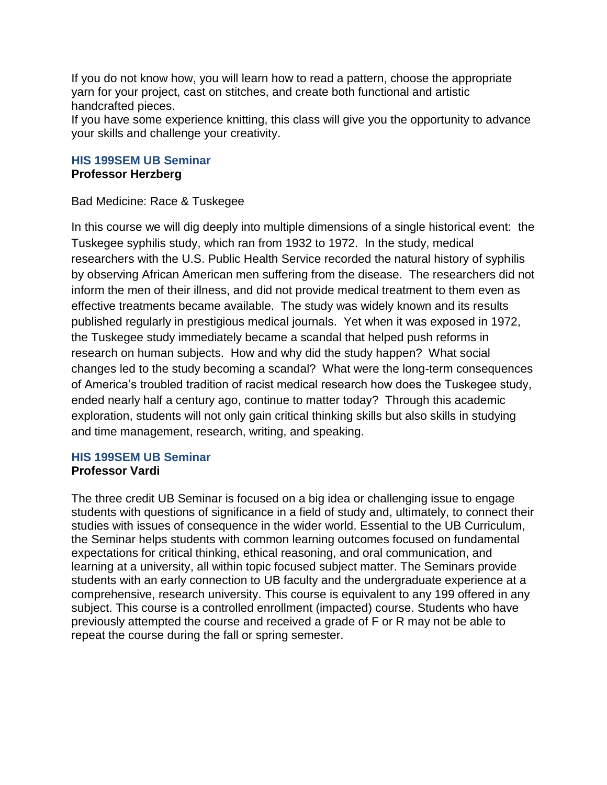If you do not know how, you will learn how to read a pattern, choose the appropriate yarn for your project, cast on stitches, and create both functional and artistic handcrafted pieces.

If you have some experience knitting, this class will give you the opportunity to advance your skills and challenge your creativity.

# **HIS 199SEM UB Seminar Professor Herzberg**

Bad Medicine: Race & Tuskegee

In this course we will dig deeply into multiple dimensions of a single historical event: the Tuskegee syphilis study, which ran from 1932 to 1972. In the study, medical researchers with the U.S. Public Health Service recorded the natural history of syphilis by observing African American men suffering from the disease. The researchers did not inform the men of their illness, and did not provide medical treatment to them even as effective treatments became available. The study was widely known and its results published regularly in prestigious medical journals. Yet when it was exposed in 1972, the Tuskegee study immediately became a scandal that helped push reforms in research on human subjects. How and why did the study happen? What social changes led to the study becoming a scandal? What were the long-term consequences of America's troubled tradition of racist medical research how does the Tuskegee study, ended nearly half a century ago, continue to matter today? Through this academic exploration, students will not only gain critical thinking skills but also skills in studying and time management, research, writing, and speaking.

# **HIS 199SEM UB Seminar Professor Vardi**

The three credit UB Seminar is focused on a big idea or challenging issue to engage students with questions of significance in a field of study and, ultimately, to connect their studies with issues of consequence in the wider world. Essential to the UB Curriculum, the Seminar helps students with common learning outcomes focused on fundamental expectations for critical thinking, ethical reasoning, and oral communication, and learning at a university, all within topic focused subject matter. The Seminars provide students with an early connection to UB faculty and the undergraduate experience at a comprehensive, research university. This course is equivalent to any 199 offered in any subject. This course is a controlled enrollment (impacted) course. Students who have previously attempted the course and received a grade of F or R may not be able to repeat the course during the fall or spring semester.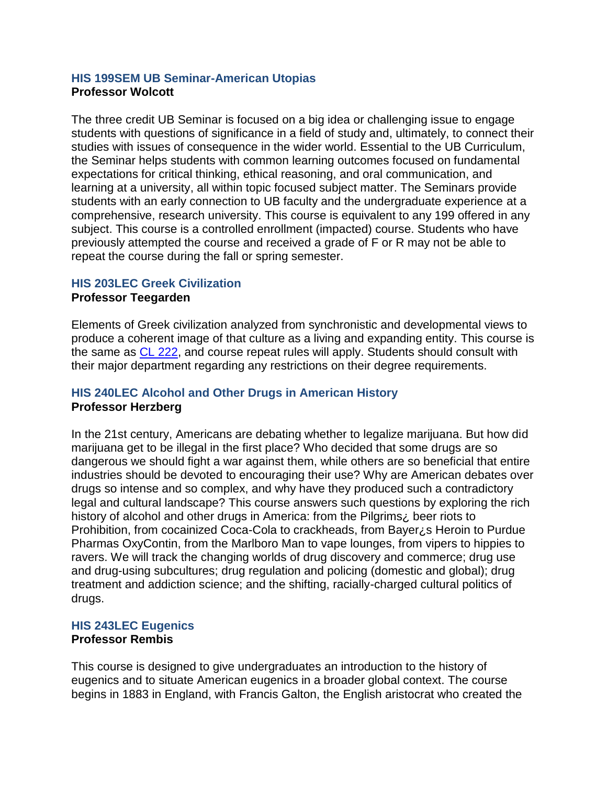# **HIS 199SEM UB Seminar-American Utopias Professor Wolcott**

The three credit UB Seminar is focused on a big idea or challenging issue to engage students with questions of significance in a field of study and, ultimately, to connect their studies with issues of consequence in the wider world. Essential to the UB Curriculum, the Seminar helps students with common learning outcomes focused on fundamental expectations for critical thinking, ethical reasoning, and oral communication, and learning at a university, all within topic focused subject matter. The Seminars provide students with an early connection to UB faculty and the undergraduate experience at a comprehensive, research university. This course is equivalent to any 199 offered in any subject. This course is a controlled enrollment (impacted) course. Students who have previously attempted the course and received a grade of F or R may not be able to repeat the course during the fall or spring semester.

#### **HIS 203LEC Greek Civilization**

#### **Professor Teegarden**

Elements of Greek civilization analyzed from synchronistic and developmental views to produce a coherent image of that culture as a living and expanding entity. This course is the same as [CL 222,](https://catalog.buffalo.edu/courses/?abbr=CL&num=222) and course repeat rules will apply. Students should consult with their major department regarding any restrictions on their degree requirements.

# **HIS 240LEC Alcohol and Other Drugs in American History Professor Herzberg**

In the 21st century, Americans are debating whether to legalize marijuana. But how did marijuana get to be illegal in the first place? Who decided that some drugs are so dangerous we should fight a war against them, while others are so beneficial that entire industries should be devoted to encouraging their use? Why are American debates over drugs so intense and so complex, and why have they produced such a contradictory legal and cultural landscape? This course answers such questions by exploring the rich history of alcohol and other drugs in America: from the Pilgrims¿ beer riots to Prohibition, from cocainized Coca-Cola to crackheads, from Bayer¿s Heroin to Purdue Pharmas OxyContin, from the Marlboro Man to vape lounges, from vipers to hippies to ravers. We will track the changing worlds of drug discovery and commerce; drug use and drug-using subcultures; drug regulation and policing (domestic and global); drug treatment and addiction science; and the shifting, racially-charged cultural politics of drugs.

# **HIS 243LEC Eugenics**

# **Professor Rembis**

This course is designed to give undergraduates an introduction to the history of eugenics and to situate American eugenics in a broader global context. The course begins in 1883 in England, with Francis Galton, the English aristocrat who created the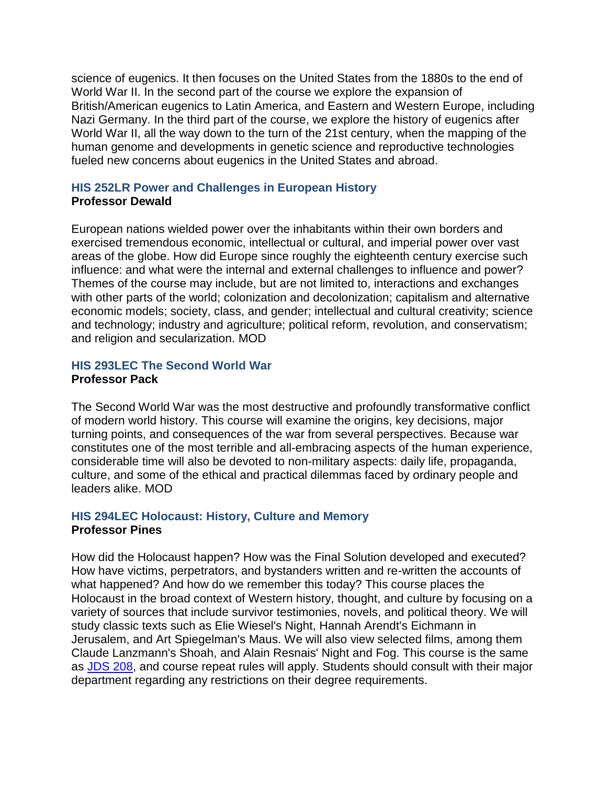science of eugenics. It then focuses on the United States from the 1880s to the end of World War II. In the second part of the course we explore the expansion of British/American eugenics to Latin America, and Eastern and Western Europe, including Nazi Germany. In the third part of the course, we explore the history of eugenics after World War II, all the way down to the turn of the 21st century, when the mapping of the human genome and developments in genetic science and reproductive technologies fueled new concerns about eugenics in the United States and abroad.

# **HIS 252LR Power and Challenges in European History Professor Dewald**

European nations wielded power over the inhabitants within their own borders and exercised tremendous economic, intellectual or cultural, and imperial power over vast areas of the globe. How did Europe since roughly the eighteenth century exercise such influence: and what were the internal and external challenges to influence and power? Themes of the course may include, but are not limited to, interactions and exchanges with other parts of the world; colonization and decolonization; capitalism and alternative economic models; society, class, and gender; intellectual and cultural creativity; science and technology; industry and agriculture; political reform, revolution, and conservatism; and religion and secularization. MOD

# **HIS 293LEC The Second World War Professor Pack**

The Second World War was the most destructive and profoundly transformative conflict of modern world history. This course will examine the origins, key decisions, major turning points, and consequences of the war from several perspectives. Because war constitutes one of the most terrible and all-embracing aspects of the human experience, considerable time will also be devoted to non-military aspects: daily life, propaganda, culture, and some of the ethical and practical dilemmas faced by ordinary people and leaders alike. MOD

# **HIS 294LEC Holocaust: History, Culture and Memory Professor Pines**

How did the Holocaust happen? How was the Final Solution developed and executed? How have victims, perpetrators, and bystanders written and re-written the accounts of what happened? And how do we remember this today? This course places the Holocaust in the broad context of Western history, thought, and culture by focusing on a variety of sources that include survivor testimonies, novels, and political theory. We will study classic texts such as Elie Wiesel's Night, Hannah Arendt's Eichmann in Jerusalem, and Art Spiegelman's Maus. We will also view selected films, among them Claude Lanzmann's Shoah, and Alain Resnais' Night and Fog. This course is the same as [JDS 208,](https://catalog.buffalo.edu/courses/?abbr=JDS&num=208) and course repeat rules will apply. Students should consult with their major department regarding any restrictions on their degree requirements.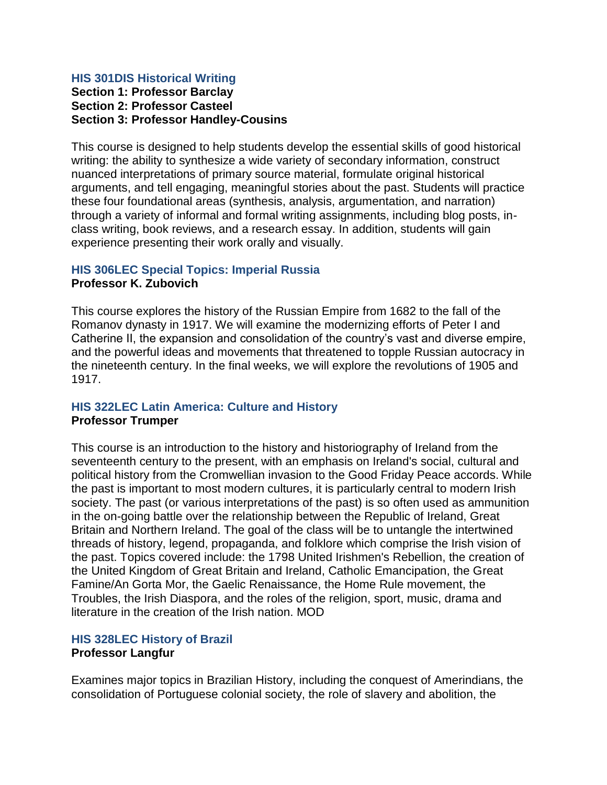#### **HIS 301DIS Historical Writing Section 1: Professor Barclay Section 2: Professor Casteel Section 3: Professor Handley-Cousins**

This course is designed to help students develop the essential skills of good historical writing: the ability to synthesize a wide variety of secondary information, construct nuanced interpretations of primary source material, formulate original historical arguments, and tell engaging, meaningful stories about the past. Students will practice these four foundational areas (synthesis, analysis, argumentation, and narration) through a variety of informal and formal writing assignments, including blog posts, inclass writing, book reviews, and a research essay. In addition, students will gain experience presenting their work orally and visually.

# **HIS 306LEC Special Topics: Imperial Russia Professor K. Zubovich**

This course explores the history of the Russian Empire from 1682 to the fall of the Romanov dynasty in 1917. We will examine the modernizing efforts of Peter I and Catherine II, the expansion and consolidation of the country's vast and diverse empire, and the powerful ideas and movements that threatened to topple Russian autocracy in the nineteenth century. In the final weeks, we will explore the revolutions of 1905 and 1917.

#### **HIS 322LEC Latin America: Culture and History Professor Trumper**

This course is an introduction to the history and historiography of Ireland from the seventeenth century to the present, with an emphasis on Ireland's social, cultural and political history from the Cromwellian invasion to the Good Friday Peace accords. While the past is important to most modern cultures, it is particularly central to modern Irish society. The past (or various interpretations of the past) is so often used as ammunition in the on-going battle over the relationship between the Republic of Ireland, Great Britain and Northern Ireland. The goal of the class will be to untangle the intertwined threads of history, legend, propaganda, and folklore which comprise the Irish vision of the past. Topics covered include: the 1798 United Irishmen's Rebellion, the creation of the United Kingdom of Great Britain and Ireland, Catholic Emancipation, the Great Famine/An Gorta Mor, the Gaelic Renaissance, the Home Rule movement, the Troubles, the Irish Diaspora, and the roles of the religion, sport, music, drama and literature in the creation of the Irish nation. MOD

# **HIS 328LEC History of Brazil Professor Langfur**

Examines major topics in Brazilian History, including the conquest of Amerindians, the consolidation of Portuguese colonial society, the role of slavery and abolition, the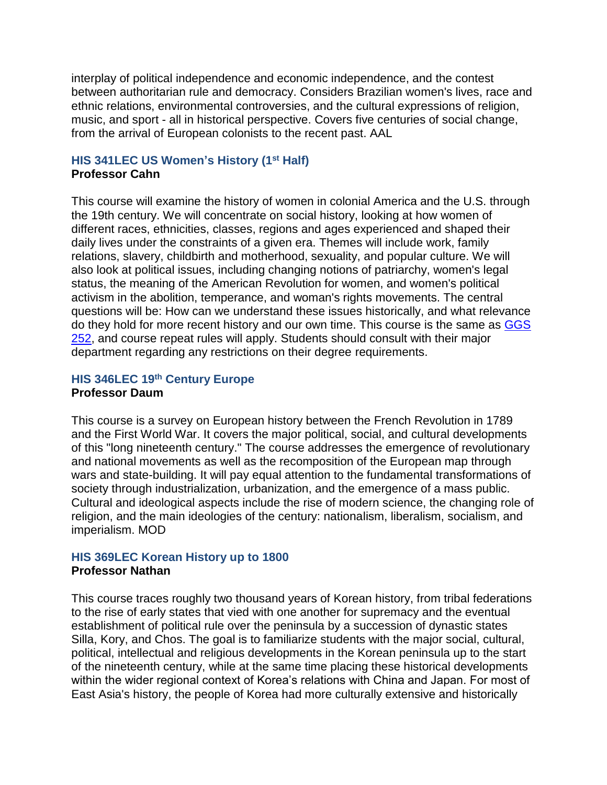interplay of political independence and economic independence, and the contest between authoritarian rule and democracy. Considers Brazilian women's lives, race and ethnic relations, environmental controversies, and the cultural expressions of religion, music, and sport - all in historical perspective. Covers five centuries of social change, from the arrival of European colonists to the recent past. AAL

# **HIS 341LEC US Women's History (1st Half) Professor Cahn**

This course will examine the history of women in colonial America and the U.S. through the 19th century. We will concentrate on social history, looking at how women of different races, ethnicities, classes, regions and ages experienced and shaped their daily lives under the constraints of a given era. Themes will include work, family relations, slavery, childbirth and motherhood, sexuality, and popular culture. We will also look at political issues, including changing notions of patriarchy, women's legal status, the meaning of the American Revolution for women, and women's political activism in the abolition, temperance, and woman's rights movements. The central questions will be: How can we understand these issues historically, and what relevance do they hold for more recent history and our own time. This course is the same as [GGS](https://catalog.buffalo.edu/courses/?abbr=GGS&num=252)  [252,](https://catalog.buffalo.edu/courses/?abbr=GGS&num=252) and course repeat rules will apply. Students should consult with their major department regarding any restrictions on their degree requirements.

# **HIS 346LEC 19th Century Europe Professor Daum**

This course is a survey on European history between the French Revolution in 1789 and the First World War. It covers the major political, social, and cultural developments of this "long nineteenth century." The course addresses the emergence of revolutionary and national movements as well as the recomposition of the European map through wars and state-building. It will pay equal attention to the fundamental transformations of society through industrialization, urbanization, and the emergence of a mass public. Cultural and ideological aspects include the rise of modern science, the changing role of religion, and the main ideologies of the century: nationalism, liberalism, socialism, and imperialism. MOD

# **HIS 369LEC Korean History up to 1800 Professor Nathan**

This course traces roughly two thousand years of Korean history, from tribal federations to the rise of early states that vied with one another for supremacy and the eventual establishment of political rule over the peninsula by a succession of dynastic states Silla, Kory, and Chos. The goal is to familiarize students with the major social, cultural, political, intellectual and religious developments in the Korean peninsula up to the start of the nineteenth century, while at the same time placing these historical developments within the wider regional context of Korea's relations with China and Japan. For most of East Asia's history, the people of Korea had more culturally extensive and historically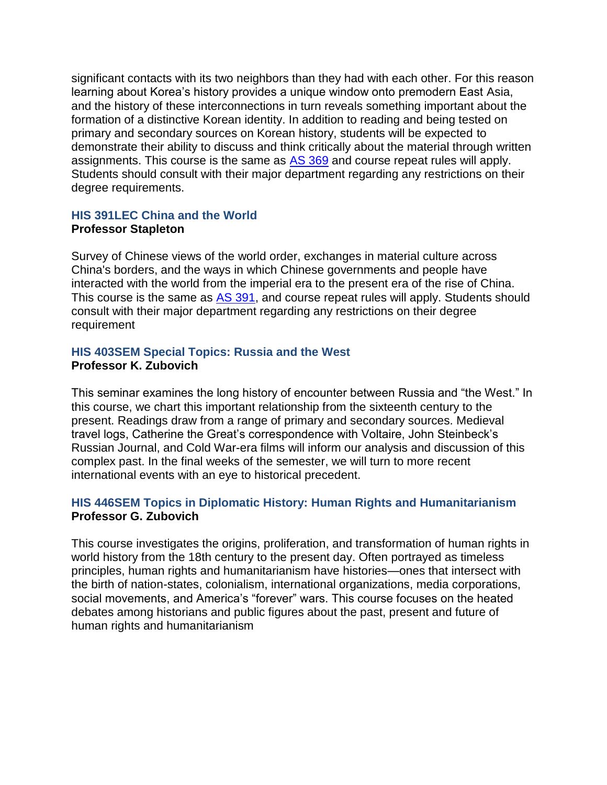significant contacts with its two neighbors than they had with each other. For this reason learning about Korea's history provides a unique window onto premodern East Asia, and the history of these interconnections in turn reveals something important about the formation of a distinctive Korean identity. In addition to reading and being tested on primary and secondary sources on Korean history, students will be expected to demonstrate their ability to discuss and think critically about the material through written assignments. This course is the same as [AS 369](https://catalog.buffalo.edu/courses/?abbr=AS&num=369) and course repeat rules will apply. Students should consult with their major department regarding any restrictions on their degree requirements.

# **HIS 391LEC China and the World Professor Stapleton**

Survey of Chinese views of the world order, exchanges in material culture across China's borders, and the ways in which Chinese governments and people have interacted with the world from the imperial era to the present era of the rise of China. This course is the same as [AS 391,](https://catalog.buffalo.edu/courses/?abbr=AS&num=391) and course repeat rules will apply. Students should consult with their major department regarding any restrictions on their degree requirement

# **HIS 403SEM Special Topics: Russia and the West Professor K. Zubovich**

This seminar examines the long history of encounter between Russia and "the West." In this course, we chart this important relationship from the sixteenth century to the present. Readings draw from a range of primary and secondary sources. Medieval travel logs, Catherine the Great's correspondence with Voltaire, John Steinbeck's Russian Journal, and Cold War-era films will inform our analysis and discussion of this complex past. In the final weeks of the semester, we will turn to more recent international events with an eye to historical precedent.

# **HIS 446SEM Topics in Diplomatic History: Human Rights and Humanitarianism Professor G. Zubovich**

This course investigates the origins, proliferation, and transformation of human rights in world history from the 18th century to the present day. Often portrayed as timeless principles, human rights and humanitarianism have histories—ones that intersect with the birth of nation-states, colonialism, international organizations, media corporations, social movements, and America's "forever" wars. This course focuses on the heated debates among historians and public figures about the past, present and future of human rights and humanitarianism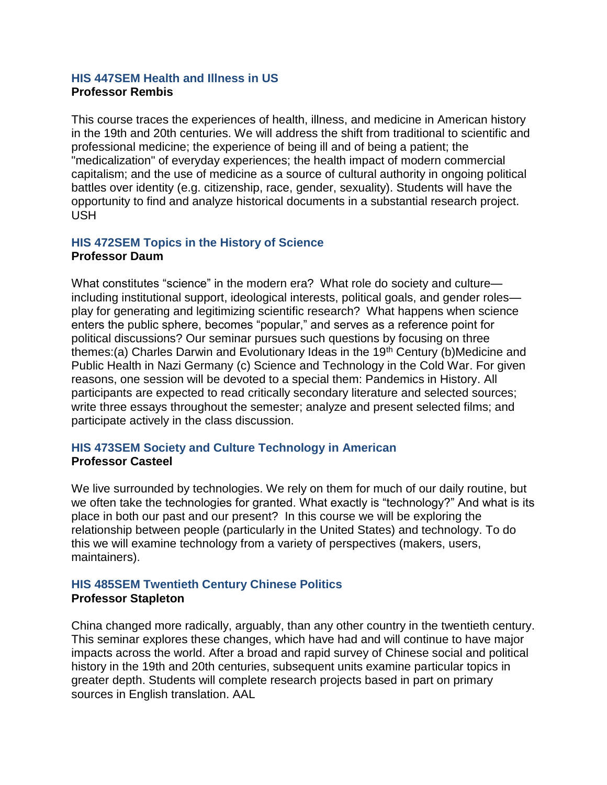## **HIS 447SEM Health and Illness in US Professor Rembis**

This course traces the experiences of health, illness, and medicine in American history in the 19th and 20th centuries. We will address the shift from traditional to scientific and professional medicine; the experience of being ill and of being a patient; the "medicalization" of everyday experiences; the health impact of modern commercial capitalism; and the use of medicine as a source of cultural authority in ongoing political battles over identity (e.g. citizenship, race, gender, sexuality). Students will have the opportunity to find and analyze historical documents in a substantial research project. USH

# **HIS 472SEM Topics in the History of Science Professor Daum**

What constitutes "science" in the modern era? What role do society and culture including institutional support, ideological interests, political goals, and gender roles play for generating and legitimizing scientific research? What happens when science enters the public sphere, becomes "popular," and serves as a reference point for political discussions? Our seminar pursues such questions by focusing on three themes:(a) Charles Darwin and Evolutionary Ideas in the 19<sup>th</sup> Century (b)Medicine and Public Health in Nazi Germany (c) Science and Technology in the Cold War. For given reasons, one session will be devoted to a special them: Pandemics in History. All participants are expected to read critically secondary literature and selected sources; write three essays throughout the semester; analyze and present selected films; and participate actively in the class discussion.

# **HIS 473SEM Society and Culture Technology in American Professor Casteel**

We live surrounded by technologies. We rely on them for much of our daily routine, but we often take the technologies for granted. What exactly is "technology?" And what is its place in both our past and our present? In this course we will be exploring the relationship between people (particularly in the United States) and technology. To do this we will examine technology from a variety of perspectives (makers, users, maintainers).

# **HIS 485SEM Twentieth Century Chinese Politics Professor Stapleton**

China changed more radically, arguably, than any other country in the twentieth century. This seminar explores these changes, which have had and will continue to have major impacts across the world. After a broad and rapid survey of Chinese social and political history in the 19th and 20th centuries, subsequent units examine particular topics in greater depth. Students will complete research projects based in part on primary sources in English translation. AAL